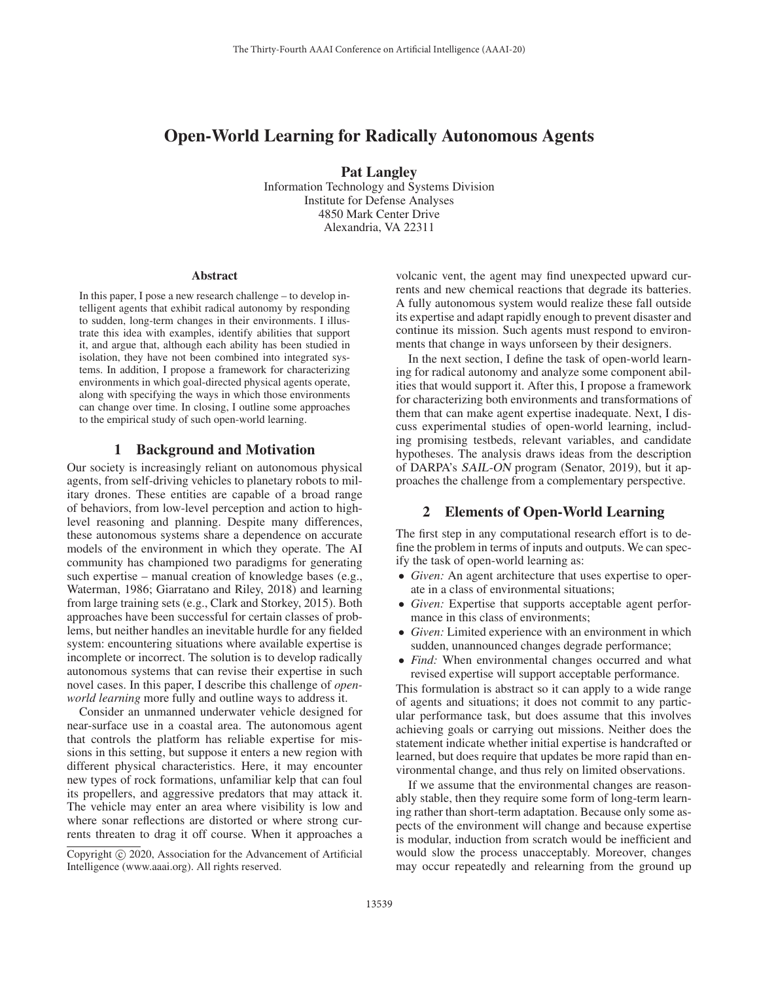# Open-World Learning for Radically Autonomous Agents

Pat Langley Information Technology and Systems Division Institute for Defense Analyses 4850 Mark Center Drive

Alexandria, VA 22311

#### **Abstract**

In this paper, I pose a new research challenge – to develop intelligent agents that exhibit radical autonomy by responding to sudden, long-term changes in their environments. I illustrate this idea with examples, identify abilities that support it, and argue that, although each ability has been studied in isolation, they have not been combined into integrated systems. In addition, I propose a framework for characterizing environments in which goal-directed physical agents operate, along with specifying the ways in which those environments can change over time. In closing, I outline some approaches to the empirical study of such open-world learning.

#### 1 Background and Motivation

Our society is increasingly reliant on autonomous physical agents, from self-driving vehicles to planetary robots to military drones. These entities are capable of a broad range of behaviors, from low-level perception and action to highlevel reasoning and planning. Despite many differences, these autonomous systems share a dependence on accurate models of the environment in which they operate. The AI community has championed two paradigms for generating such expertise – manual creation of knowledge bases (e.g., Waterman, 1986; Giarratano and Riley, 2018) and learning from large training sets (e.g., Clark and Storkey, 2015). Both approaches have been successful for certain classes of problems, but neither handles an inevitable hurdle for any fielded system: encountering situations where available expertise is incomplete or incorrect. The solution is to develop radically autonomous systems that can revise their expertise in such novel cases. In this paper, I describe this challenge of *openworld learning* more fully and outline ways to address it.

Consider an unmanned underwater vehicle designed for near-surface use in a coastal area. The autonomous agent that controls the platform has reliable expertise for missions in this setting, but suppose it enters a new region with different physical characteristics. Here, it may encounter new types of rock formations, unfamiliar kelp that can foul its propellers, and aggressive predators that may attack it. The vehicle may enter an area where visibility is low and where sonar reflections are distorted or where strong currents threaten to drag it off course. When it approaches a

volcanic vent, the agent may find unexpected upward currents and new chemical reactions that degrade its batteries. A fully autonomous system would realize these fall outside its expertise and adapt rapidly enough to prevent disaster and continue its mission. Such agents must respond to environments that change in ways unforseen by their designers.

In the next section, I define the task of open-world learning for radical autonomy and analyze some component abilities that would support it. After this, I propose a framework for characterizing both environments and transformations of them that can make agent expertise inadequate. Next, I discuss experimental studies of open-world learning, including promising testbeds, relevant variables, and candidate hypotheses. The analysis draws ideas from the description of DARPA's *SAIL-ON* program (Senator, 2019), but it approaches the challenge from a complementary perspective.

## 2 Elements of Open-World Learning

The first step in any computational research effort is to define the problem in terms of inputs and outputs. We can specify the task of open-world learning as:

- *Given:* An agent architecture that uses expertise to operate in a class of environmental situations;
- *Given:* Expertise that supports acceptable agent performance in this class of environments;
- *Given:* Limited experience with an environment in which sudden, unannounced changes degrade performance;
- *Find:* When environmental changes occurred and what revised expertise will support acceptable performance.

This formulation is abstract so it can apply to a wide range of agents and situations; it does not commit to any particular performance task, but does assume that this involves achieving goals or carrying out missions. Neither does the statement indicate whether initial expertise is handcrafted or learned, but does require that updates be more rapid than environmental change, and thus rely on limited observations.

If we assume that the environmental changes are reasonably stable, then they require some form of long-term learning rather than short-term adaptation. Because only some aspects of the environment will change and because expertise is modular, induction from scratch would be inefficient and would slow the process unacceptably. Moreover, changes may occur repeatedly and relearning from the ground up

Copyright  $\odot$  2020, Association for the Advancement of Artificial Intelligence (www.aaai.org). All rights reserved.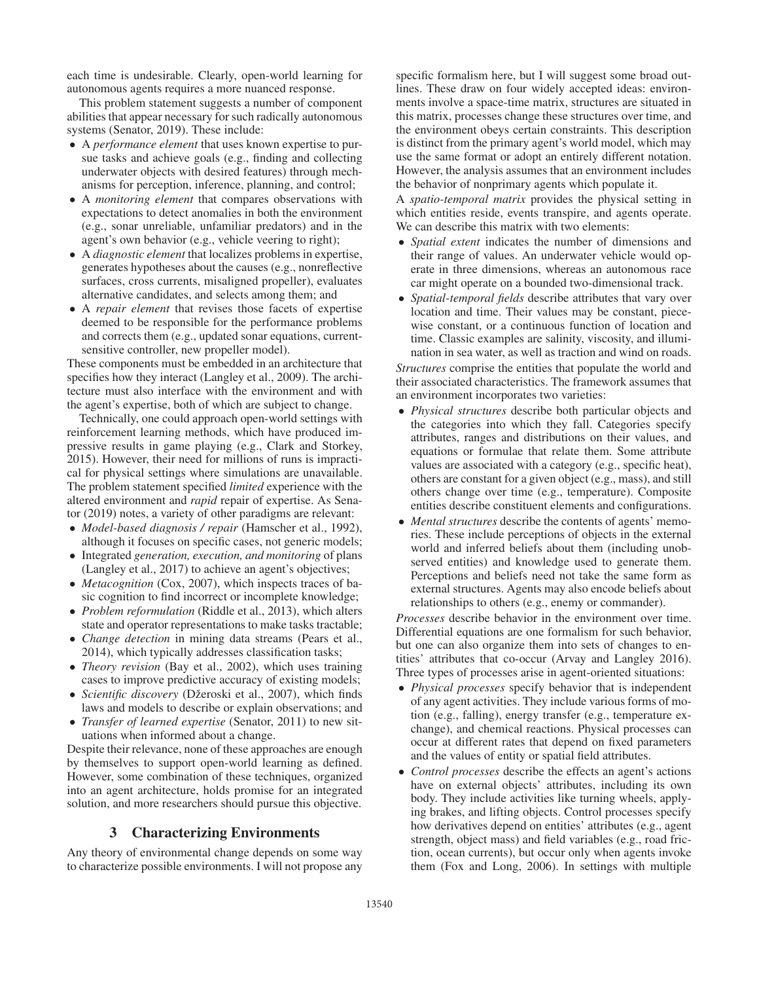each time is undesirable. Clearly, open-world learning for autonomous agents requires a more nuanced response.

This problem statement suggests a number of component abilities that appear necessary for such radically autonomous systems (Senator, 2019). These include:

- A *performance element* that uses known expertise to pursue tasks and achieve goals (e.g., finding and collecting underwater objects with desired features) through mechanisms for perception, inference, planning, and control;
- A *monitoring element* that compares observations with expectations to detect anomalies in both the environment (e.g., sonar unreliable, unfamiliar predators) and in the agent's own behavior (e.g., vehicle veering to right);
- A *diagnostic element* that localizes problems in expertise, generates hypotheses about the causes (e.g., nonreflective surfaces, cross currents, misaligned propeller), evaluates alternative candidates, and selects among them; and
- A *repair element* that revises those facets of expertise deemed to be responsible for the performance problems and corrects them (e.g., updated sonar equations, currentsensitive controller, new propeller model).

These components must be embedded in an architecture that specifies how they interact (Langley et al., 2009). The architecture must also interface with the environment and with the agent's expertise, both of which are subject to change.

Technically, one could approach open-world settings with reinforcement learning methods, which have produced impressive results in game playing (e.g., Clark and Storkey, 2015). However, their need for millions of runs is impractical for physical settings where simulations are unavailable. The problem statement specified *limited* experience with the altered environment and *rapid* repair of expertise. As Senator (2019) notes, a variety of other paradigms are relevant:

- *Model-based diagnosis / repair* (Hamscher et al., 1992), although it focuses on specific cases, not generic models;
- Integrated *generation, execution, and monitoring* of plans (Langley et al., 2017) to achieve an agent's objectives;
- *Metacognition* (Cox, 2007), which inspects traces of basic cognition to find incorrect or incomplete knowledge;
- *Problem reformulation* (Riddle et al., 2013), which alters state and operator representations to make tasks tractable;
- *Change detection* in mining data streams (Pears et al., 2014), which typically addresses classification tasks;
- *Theory revision* (Bay et al., 2002), which uses training cases to improve predictive accuracy of existing models;
- *Scientific discovery* (Džeroski et al., 2007), which finds laws and models to describe or explain observations; and
- *Transfer of learned expertise* (Senator, 2011) to new situations when informed about a change.

Despite their relevance, none of these approaches are enough by themselves to support open-world learning as defined. However, some combination of these techniques, organized into an agent architecture, holds promise for an integrated solution, and more researchers should pursue this objective.

## 3 Characterizing Environments

Any theory of environmental change depends on some way to characterize possible environments. I will not propose any

specific formalism here, but I will suggest some broad outlines. These draw on four widely accepted ideas: environments involve a space-time matrix, structures are situated in this matrix, processes change these structures over time, and the environment obeys certain constraints. This description is distinct from the primary agent's world model, which may use the same format or adopt an entirely different notation. However, the analysis assumes that an environment includes the behavior of nonprimary agents which populate it.

A *spatio-temporal matrix* provides the physical setting in which entities reside, events transpire, and agents operate. We can describe this matrix with two elements:

- *Spatial extent* indicates the number of dimensions and their range of values. An underwater vehicle would operate in three dimensions, whereas an autonomous race car might operate on a bounded two-dimensional track.
- *Spatial-temporal fields* describe attributes that vary over location and time. Their values may be constant, piecewise constant, or a continuous function of location and time. Classic examples are salinity, viscosity, and illumination in sea water, as well as traction and wind on roads.

*Structures* comprise the entities that populate the world and their associated characteristics. The framework assumes that an environment incorporates two varieties:

- *Physical structures* describe both particular objects and the categories into which they fall. Categories specify attributes, ranges and distributions on their values, and equations or formulae that relate them. Some attribute values are associated with a category (e.g., specific heat), others are constant for a given object (e.g., mass), and still others change over time (e.g., temperature). Composite entities describe constituent elements and configurations.
- *Mental structures* describe the contents of agents' memories. These include perceptions of objects in the external world and inferred beliefs about them (including unobserved entities) and knowledge used to generate them. Perceptions and beliefs need not take the same form as external structures. Agents may also encode beliefs about relationships to others (e.g., enemy or commander).

*Processes* describe behavior in the environment over time. Differential equations are one formalism for such behavior, but one can also organize them into sets of changes to entities' attributes that co-occur (Arvay and Langley 2016). Three types of processes arise in agent-oriented situations:

- *Physical processes* specify behavior that is independent of any agent activities. They include various forms of motion (e.g., falling), energy transfer (e.g., temperature exchange), and chemical reactions. Physical processes can occur at different rates that depend on fixed parameters and the values of entity or spatial field attributes.
- *Control processes* describe the effects an agent's actions have on external objects' attributes, including its own body. They include activities like turning wheels, applying brakes, and lifting objects. Control processes specify how derivatives depend on entities' attributes (e.g., agent strength, object mass) and field variables (e.g., road friction, ocean currents), but occur only when agents invoke them (Fox and Long, 2006). In settings with multiple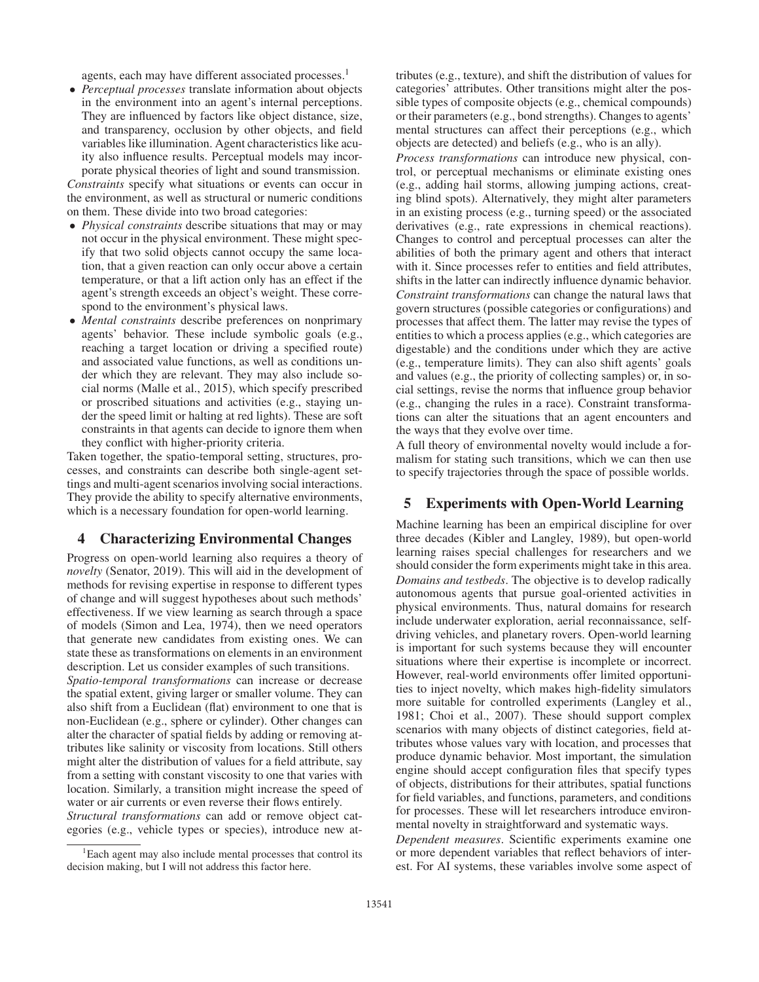agents, each may have different associated processes.<sup>1</sup>

• *Perceptual processes* translate information about objects in the environment into an agent's internal perceptions. They are influenced by factors like object distance, size, and transparency, occlusion by other objects, and field variables like illumination. Agent characteristics like acuity also influence results. Perceptual models may incorporate physical theories of light and sound transmission.

*Constraints* specify what situations or events can occur in the environment, as well as structural or numeric conditions on them. These divide into two broad categories:

- *Physical constraints* describe situations that may or may not occur in the physical environment. These might specify that two solid objects cannot occupy the same location, that a given reaction can only occur above a certain temperature, or that a lift action only has an effect if the agent's strength exceeds an object's weight. These correspond to the environment's physical laws.
- *Mental constraints* describe preferences on nonprimary agents' behavior. These include symbolic goals (e.g., reaching a target location or driving a specified route) and associated value functions, as well as conditions under which they are relevant. They may also include social norms (Malle et al., 2015), which specify prescribed or proscribed situations and activities (e.g., staying under the speed limit or halting at red lights). These are soft constraints in that agents can decide to ignore them when they conflict with higher-priority criteria.

Taken together, the spatio-temporal setting, structures, processes, and constraints can describe both single-agent settings and multi-agent scenarios involving social interactions. They provide the ability to specify alternative environments, which is a necessary foundation for open-world learning.

# 4 Characterizing Environmental Changes

Progress on open-world learning also requires a theory of *novelty* (Senator, 2019). This will aid in the development of methods for revising expertise in response to different types of change and will suggest hypotheses about such methods' effectiveness. If we view learning as search through a space of models (Simon and Lea, 1974), then we need operators that generate new candidates from existing ones. We can state these as transformations on elements in an environment description. Let us consider examples of such transitions. *Spatio-temporal transformations* can increase or decrease the spatial extent, giving larger or smaller volume. They can also shift from a Euclidean (flat) environment to one that is non-Euclidean (e.g., sphere or cylinder). Other changes can alter the character of spatial fields by adding or removing attributes like salinity or viscosity from locations. Still others might alter the distribution of values for a field attribute, say from a setting with constant viscosity to one that varies with location. Similarly, a transition might increase the speed of water or air currents or even reverse their flows entirely.

*Structural transformations* can add or remove object categories (e.g., vehicle types or species), introduce new at-

tributes (e.g., texture), and shift the distribution of values for categories' attributes. Other transitions might alter the possible types of composite objects (e.g., chemical compounds) or their parameters (e.g., bond strengths). Changes to agents' mental structures can affect their perceptions (e.g., which objects are detected) and beliefs (e.g., who is an ally).

*Process transformations* can introduce new physical, control, or perceptual mechanisms or eliminate existing ones (e.g., adding hail storms, allowing jumping actions, creating blind spots). Alternatively, they might alter parameters in an existing process (e.g., turning speed) or the associated derivatives (e.g., rate expressions in chemical reactions). Changes to control and perceptual processes can alter the abilities of both the primary agent and others that interact with it. Since processes refer to entities and field attributes, shifts in the latter can indirectly influence dynamic behavior. *Constraint transformations* can change the natural laws that govern structures (possible categories or configurations) and processes that affect them. The latter may revise the types of entities to which a process applies (e.g., which categories are digestable) and the conditions under which they are active (e.g., temperature limits). They can also shift agents' goals and values (e.g., the priority of collecting samples) or, in social settings, revise the norms that influence group behavior (e.g., changing the rules in a race). Constraint transformations can alter the situations that an agent encounters and the ways that they evolve over time.

A full theory of environmental novelty would include a formalism for stating such transitions, which we can then use to specify trajectories through the space of possible worlds.

# 5 Experiments with Open-World Learning

Machine learning has been an empirical discipline for over three decades (Kibler and Langley, 1989), but open-world learning raises special challenges for researchers and we should consider the form experiments might take in this area. *Domains and testbeds*. The objective is to develop radically autonomous agents that pursue goal-oriented activities in physical environments. Thus, natural domains for research include underwater exploration, aerial reconnaissance, selfdriving vehicles, and planetary rovers. Open-world learning is important for such systems because they will encounter situations where their expertise is incomplete or incorrect. However, real-world environments offer limited opportunities to inject novelty, which makes high-fidelity simulators more suitable for controlled experiments (Langley et al., 1981; Choi et al., 2007). These should support complex scenarios with many objects of distinct categories, field attributes whose values vary with location, and processes that produce dynamic behavior. Most important, the simulation engine should accept configuration files that specify types of objects, distributions for their attributes, spatial functions for field variables, and functions, parameters, and conditions for processes. These will let researchers introduce environmental novelty in straightforward and systematic ways.

*Dependent measures*. Scientific experiments examine one or more dependent variables that reflect behaviors of interest. For AI systems, these variables involve some aspect of

<sup>&</sup>lt;sup>1</sup>Each agent may also include mental processes that control its decision making, but I will not address this factor here.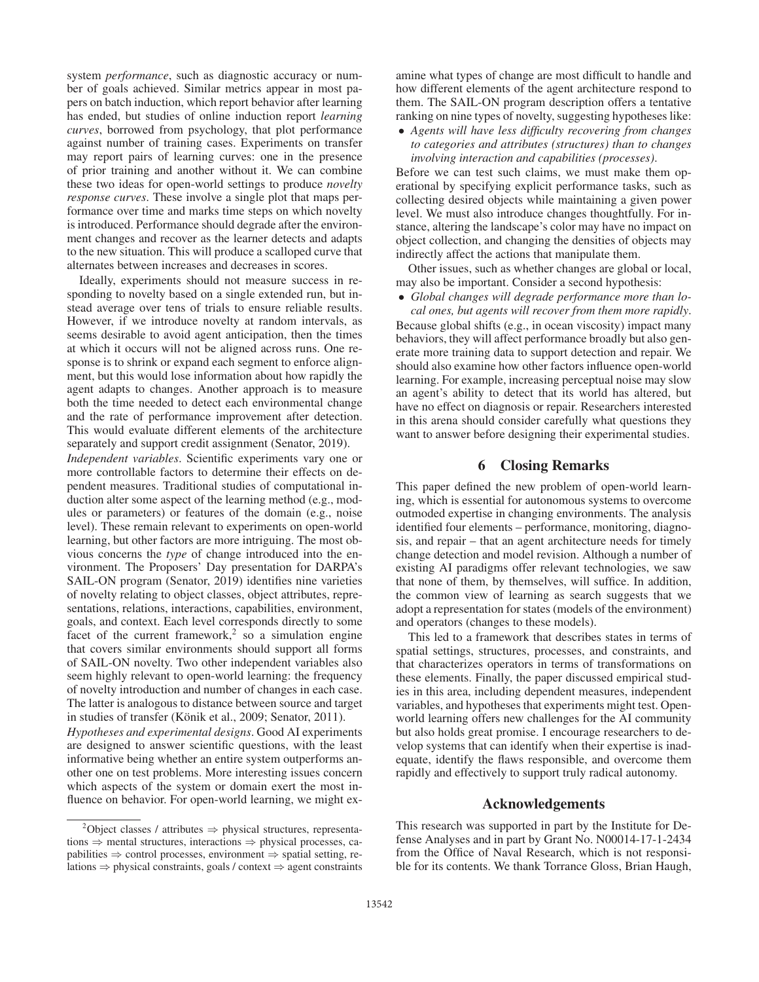system *performance*, such as diagnostic accuracy or number of goals achieved. Similar metrics appear in most papers on batch induction, which report behavior after learning has ended, but studies of online induction report *learning curves*, borrowed from psychology, that plot performance against number of training cases. Experiments on transfer may report pairs of learning curves: one in the presence of prior training and another without it. We can combine these two ideas for open-world settings to produce *novelty response curves*. These involve a single plot that maps performance over time and marks time steps on which novelty is introduced. Performance should degrade after the environment changes and recover as the learner detects and adapts to the new situation. This will produce a scalloped curve that alternates between increases and decreases in scores.

Ideally, experiments should not measure success in responding to novelty based on a single extended run, but instead average over tens of trials to ensure reliable results. However, if we introduce novelty at random intervals, as seems desirable to avoid agent anticipation, then the times at which it occurs will not be aligned across runs. One response is to shrink or expand each segment to enforce alignment, but this would lose information about how rapidly the agent adapts to changes. Another approach is to measure both the time needed to detect each environmental change and the rate of performance improvement after detection. This would evaluate different elements of the architecture separately and support credit assignment (Senator, 2019).

*Independent variables*. Scientific experiments vary one or more controllable factors to determine their effects on dependent measures. Traditional studies of computational induction alter some aspect of the learning method (e.g., modules or parameters) or features of the domain (e.g., noise level). These remain relevant to experiments on open-world learning, but other factors are more intriguing. The most obvious concerns the *type* of change introduced into the environment. The Proposers' Day presentation for DARPA's SAIL-ON program (Senator, 2019) identifies nine varieties of novelty relating to object classes, object attributes, representations, relations, interactions, capabilities, environment, goals, and context. Each level corresponds directly to some facet of the current framework, $2$  so a simulation engine that covers similar environments should support all forms of SAIL-ON novelty. Two other independent variables also seem highly relevant to open-world learning: the frequency of novelty introduction and number of changes in each case. The latter is analogous to distance between source and target in studies of transfer (Könik et al., 2009; Senator, 2011).

*Hypotheses and experimental designs*. Good AI experiments are designed to answer scientific questions, with the least informative being whether an entire system outperforms another one on test problems. More interesting issues concern which aspects of the system or domain exert the most influence on behavior. For open-world learning, we might ex-

amine what types of change are most difficult to handle and how different elements of the agent architecture respond to them. The SAIL-ON program description offers a tentative ranking on nine types of novelty, suggesting hypotheses like:

• *Agents will have less difficulty recovering from changes to categories and attributes (structures) than to changes involving interaction and capabilities (processes)*.

Before we can test such claims, we must make them operational by specifying explicit performance tasks, such as collecting desired objects while maintaining a given power level. We must also introduce changes thoughtfully. For instance, altering the landscape's color may have no impact on object collection, and changing the densities of objects may indirectly affect the actions that manipulate them.

Other issues, such as whether changes are global or local, may also be important. Consider a second hypothesis:

• *Global changes will degrade performance more than local ones, but agents will recover from them more rapidly*.

Because global shifts (e.g., in ocean viscosity) impact many behaviors, they will affect performance broadly but also generate more training data to support detection and repair. We should also examine how other factors influence open-world learning. For example, increasing perceptual noise may slow an agent's ability to detect that its world has altered, but have no effect on diagnosis or repair. Researchers interested in this arena should consider carefully what questions they want to answer before designing their experimental studies.

# 6 Closing Remarks

This paper defined the new problem of open-world learning, which is essential for autonomous systems to overcome outmoded expertise in changing environments. The analysis identified four elements – performance, monitoring, diagnosis, and repair – that an agent architecture needs for timely change detection and model revision. Although a number of existing AI paradigms offer relevant technologies, we saw that none of them, by themselves, will suffice. In addition, the common view of learning as search suggests that we adopt a representation for states (models of the environment) and operators (changes to these models).

This led to a framework that describes states in terms of spatial settings, structures, processes, and constraints, and that characterizes operators in terms of transformations on these elements. Finally, the paper discussed empirical studies in this area, including dependent measures, independent variables, and hypotheses that experiments might test. Openworld learning offers new challenges for the AI community but also holds great promise. I encourage researchers to develop systems that can identify when their expertise is inadequate, identify the flaws responsible, and overcome them rapidly and effectively to support truly radical autonomy.

## Acknowledgements

This research was supported in part by the Institute for Defense Analyses and in part by Grant No. N00014-17-1-2434 from the Office of Naval Research, which is not responsible for its contents. We thank Torrance Gloss, Brian Haugh,

 $^{2}$ Object classes / attributes  $\Rightarrow$  physical structures, representations ⇒ mental structures, interactions ⇒ physical processes, capabilities  $\Rightarrow$  control processes, environment  $\Rightarrow$  spatial setting, relations ⇒ physical constraints, goals / context ⇒ agent constraints